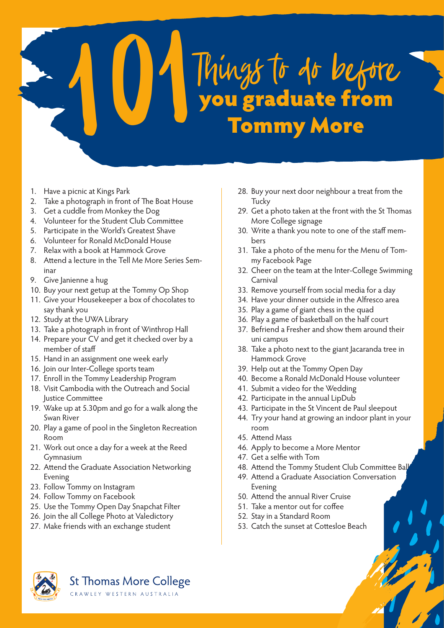

- 1. Have a picnic at Kings Park
- 2. Take a photograph in front of The Boat House
- 3. Get a cuddle from Monkey the Dog
- 4. Volunteer for the Student Club Committee
- 5. Participate in the World's Greatest Shave
- 6. Volunteer for Ronald McDonald House
- 7. Relax with a book at Hammock Grove
- 8. Attend a lecture in the Tell Me More Series Seminar
- 9. Give Janienne a hug
- 10. Buy your next getup at the Tommy Op Shop
- 11. Give your Housekeeper a box of chocolates to say thank you
- 12. Study at the UWA Library
- 13. Take a photograph in front of Winthrop Hall
- 14. Prepare your CV and get it checked over by a member of staff
- 15. Hand in an assignment one week early
- 16. Join our Inter-College sports team
- 17. Enroll in the Tommy Leadership Program
- 18. Visit Cambodia with the Outreach and Social Justice Committee
- 19. Wake up at 5.30pm and go for a walk along the Swan River
- 20. Play a game of pool in the Singleton Recreation Room
- 21. Work out once a day for a week at the Reed Gymnasium
- 22. Attend the Graduate Association Networking Evening
- 23. Follow Tommy on Instagram
- 24. Follow Tommy on Facebook
- 25. Use the Tommy Open Day Snapchat Filter
- 26. Join the all College Photo at Valedictory
- 27. Make friends with an exchange student
- 28. Buy your next door neighbour a treat from the **Tucky**
- 29. Get a photo taken at the front with the St Thomas More College signage
- 30. Write a thank you note to one of the staff members
- 31. Take a photo of the menu for the Menu of Tommy Facebook Page
- 32. Cheer on the team at the Inter-College Swimming Carnival
- 33. Remove yourself from social media for a day
- 34. Have your dinner outside in the Alfresco area
- 35. Play a game of giant chess in the quad
- 36. Play a game of basketball on the half court
- 37. Befriend a Fresher and show them around their uni campus
- 38. Take a photo next to the giant Jacaranda tree in Hammock Grove
- 39. Help out at the Tommy Open Day
- 40. Become a Ronald McDonald House volunteer
- 41. Submit a video for the Wedding
- 42. Participate in the annual LipDub
- 43. Participate in the St Vincent de Paul sleepout
- 44. Try your hand at growing an indoor plant in your room
- 45. Attend Mass
- 46. Apply to become a More Mentor
- 47. Get a selfie with Tom
- 48. Attend the Tommy Student Club Committee Ball
- 49. Attend a Graduate Association Conversation Evening
- 50. Attend the annual River Cruise
- 51. Take a mentor out for coffee
- 52. Stay in a Standard Room
- 53. Catch the sunset at Cottesloe Beach



**St Thomas More College** CRAWLEY WESTERN AUSTRALIA